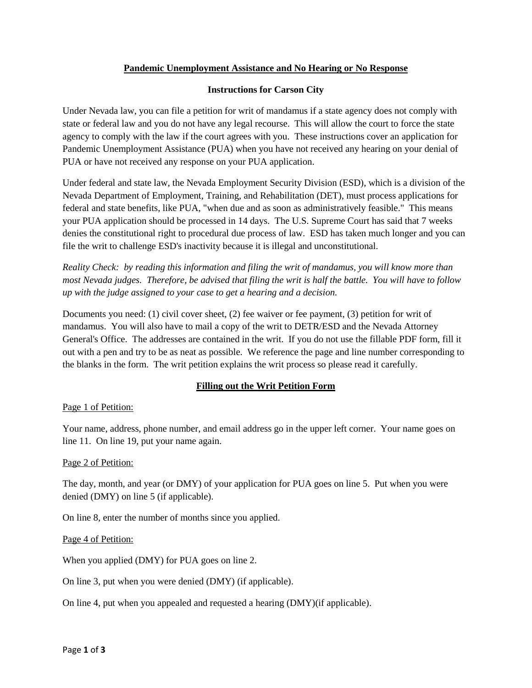## **Pandemic Unemployment Assistance and No Hearing or No Response**

## **Instructions for Carson City**

Under Nevada law, you can file a petition for writ of mandamus if a state agency does not comply with state or federal law and you do not have any legal recourse. This will allow the court to force the state agency to comply with the law if the court agrees with you. These instructions cover an application for Pandemic Unemployment Assistance (PUA) when you have not received any hearing on your denial of PUA or have not received any response on your PUA application.

Under federal and state law, the Nevada Employment Security Division (ESD), which is a division of the Nevada Department of Employment, Training, and Rehabilitation (DET), must process applications for federal and state benefits, like PUA, "when due and as soon as administratively feasible." This means your PUA application should be processed in 14 days. The U.S. Supreme Court has said that 7 weeks denies the constitutional right to procedural due process of law. ESD has taken much longer and you can file the writ to challenge ESD's inactivity because it is illegal and unconstitutional.

*Reality Check: by reading this information and filing the writ of mandamus, you will know more than most Nevada judges. Therefore, be advised that filing the writ is half the battle. You will have to follow up with the judge assigned to your case to get a hearing and a decision.*

Documents you need: (1) civil cover sheet, (2) fee waiver or fee payment, (3) petition for writ of mandamus. You will also have to mail a copy of the writ to DETR/ESD and the Nevada Attorney General's Office. The addresses are contained in the writ. If you do not use the fillable PDF form, fill it out with a pen and try to be as neat as possible. We reference the page and line number corresponding to the blanks in the form. The writ petition explains the writ process so please read it carefully.

# **Filling out the Writ Petition Form**

### Page 1 of Petition:

Your name, address, phone number, and email address go in the upper left corner. Your name goes on line 11. On line 19, put your name again.

### Page 2 of Petition:

The day, month, and year (or DMY) of your application for PUA goes on line 5. Put when you were denied (DMY) on line 5 (if applicable).

On line 8, enter the number of months since you applied.

### Page 4 of Petition:

When you applied (DMY) for PUA goes on line 2.

On line 3, put when you were denied (DMY) (if applicable).

On line 4, put when you appealed and requested a hearing (DMY)(if applicable).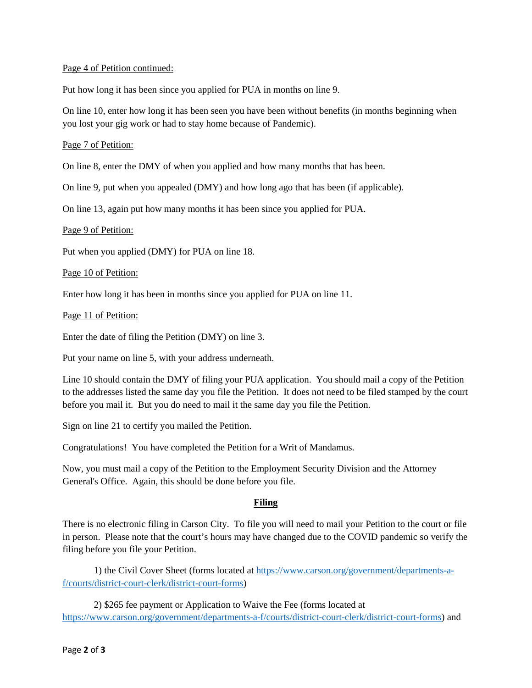### Page 4 of Petition continued:

Put how long it has been since you applied for PUA in months on line 9.

On line 10, enter how long it has been seen you have been without benefits (in months beginning when you lost your gig work or had to stay home because of Pandemic).

### Page 7 of Petition:

On line 8, enter the DMY of when you applied and how many months that has been.

On line 9, put when you appealed (DMY) and how long ago that has been (if applicable).

On line 13, again put how many months it has been since you applied for PUA.

### Page 9 of Petition:

Put when you applied (DMY) for PUA on line 18.

### Page 10 of Petition:

Enter how long it has been in months since you applied for PUA on line 11.

#### Page 11 of Petition:

Enter the date of filing the Petition (DMY) on line 3.

Put your name on line 5, with your address underneath.

Line 10 should contain the DMY of filing your PUA application. You should mail a copy of the Petition to the addresses listed the same day you file the Petition. It does not need to be filed stamped by the court before you mail it. But you do need to mail it the same day you file the Petition.

Sign on line 21 to certify you mailed the Petition.

Congratulations! You have completed the Petition for a Writ of Mandamus.

Now, you must mail a copy of the Petition to the Employment Security Division and the Attorney General's Office. Again, this should be done before you file.

### **Filing**

There is no electronic filing in Carson City. To file you will need to mail your Petition to the court or file in person. Please note that the court's hours may have changed due to the COVID pandemic so verify the filing before you file your Petition.

1) the Civil Cover Sheet (forms located at [https://www.carson.org/government/departments-a](https://www.carson.org/government/departments-a-f/courts/district-court-clerk/district-court-forms)[f/courts/district-court-clerk/district-court-forms\)](https://www.carson.org/government/departments-a-f/courts/district-court-clerk/district-court-forms)

2) \$265 fee payment or Application to Waive the Fee (forms located at [https://www.carson.org/government/departments-a-f/courts/district-court-clerk/district-court-forms\)](https://www.carson.org/government/departments-a-f/courts/district-court-clerk/district-court-forms) and